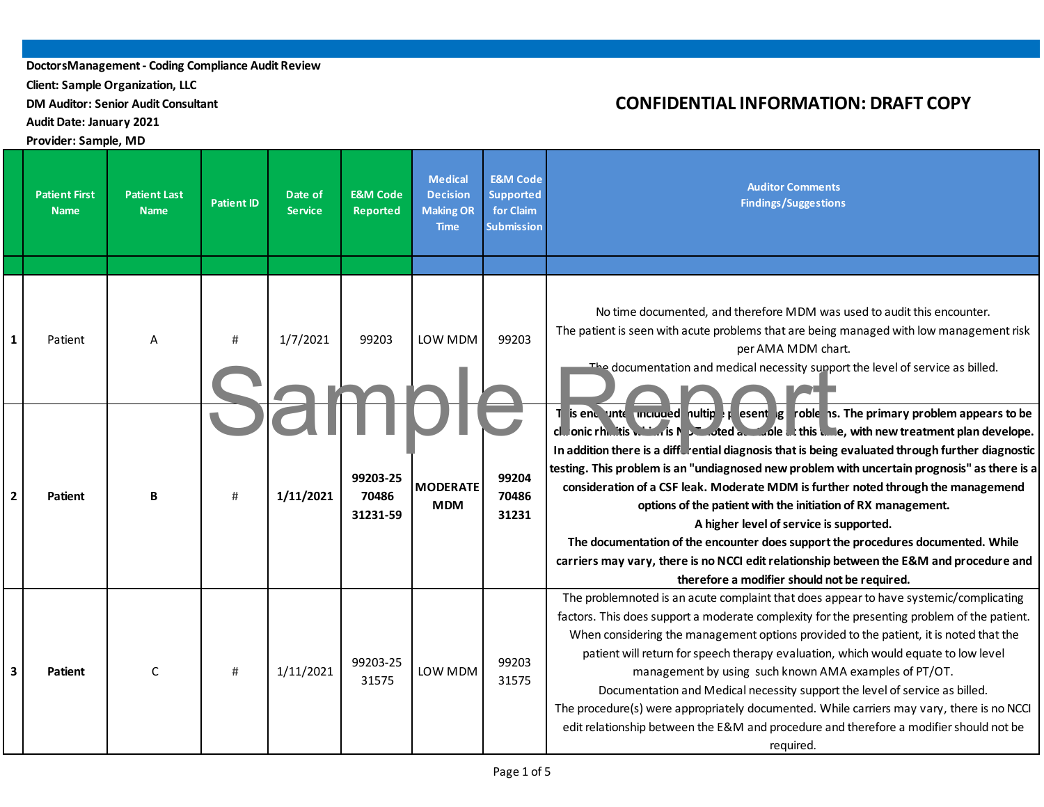**Client: Sample Organization, LLC**

**DM Auditor: Senior Audit Consultant**

**AuditDate: January 2021**

#### **Provider: Sample, MD**

|   | <b>Patient First</b><br><b>Name</b> | <b>Patient Last</b><br><b>Name</b> | <b>Patient ID</b> | Date of<br><b>Service</b> | <b>E&amp;M Code</b><br>Reported | <b>Medical</b><br><b>Decision</b><br><b>Making OR</b><br><b>Time</b> | <b>E&amp;M Code</b><br><b>Supported</b><br>for Claim<br><b>Submission</b> | <b>Auditor Comments</b><br><b>Findings/Suggestions</b>                                                                                                                                                                                                                                                                                                                                                                                                                                                                                                                                                                                                                                                                                                                                                                                          |
|---|-------------------------------------|------------------------------------|-------------------|---------------------------|---------------------------------|----------------------------------------------------------------------|---------------------------------------------------------------------------|-------------------------------------------------------------------------------------------------------------------------------------------------------------------------------------------------------------------------------------------------------------------------------------------------------------------------------------------------------------------------------------------------------------------------------------------------------------------------------------------------------------------------------------------------------------------------------------------------------------------------------------------------------------------------------------------------------------------------------------------------------------------------------------------------------------------------------------------------|
|   |                                     |                                    |                   |                           |                                 |                                                                      |                                                                           |                                                                                                                                                                                                                                                                                                                                                                                                                                                                                                                                                                                                                                                                                                                                                                                                                                                 |
| 1 | Patient                             | Α                                  | #                 | 1/7/2021                  | 99203                           | LOW MDM                                                              | 99203                                                                     | No time documented, and therefore MDM was used to audit this encounter.<br>The patient is seen with acute problems that are being managed with low management risk<br>per AMA MDM chart.<br>The documentation and medical necessity support the level of service as billed.                                                                                                                                                                                                                                                                                                                                                                                                                                                                                                                                                                     |
| 2 | <b>Patient</b>                      | B                                  | #                 | 1/11/2021                 | 99203-25<br>70486<br>31231-59   | <b>MODERATE</b><br><b>MDM</b>                                        | 99204<br>70486<br>31231                                                   | $\overline{1}$ is end unterminated nuitip $\mu$ esent $\mu$ roble is. The primary problem appears to be<br>cl., onic rhi, it is with it is with pulled a state of our care with new treatment plan develope.<br>In addition there is a diffurential diagnosis that is being evaluated through further diagnostic<br>testing. This problem is an "undiagnosed new problem with uncertain prognosis" as there is a<br>consideration of a CSF leak. Moderate MDM is further noted through the managemend<br>options of the patient with the initiation of RX management.<br>A higher level of service is supported.<br>The documentation of the encounter does support the procedures documented. While<br>carriers may vary, there is no NCCI edit relationship between the E&M and procedure and<br>therefore a modifier should not be required. |
| 3 | Patient                             | C                                  | #                 | 1/11/2021                 | 99203-25<br>31575               | LOW MDM                                                              | 99203<br>31575                                                            | The problemnoted is an acute complaint that does appear to have systemic/complicating<br>factors. This does support a moderate complexity for the presenting problem of the patient.<br>When considering the management options provided to the patient, it is noted that the<br>patient will return for speech therapy evaluation, which would equate to low level<br>management by using such known AMA examples of PT/OT.<br>Documentation and Medical necessity support the level of service as billed.<br>The procedure(s) were appropriately documented. While carriers may vary, there is no NCCI<br>edit relationship between the E&M and procedure and therefore a modifier should not be<br>required.                                                                                                                                 |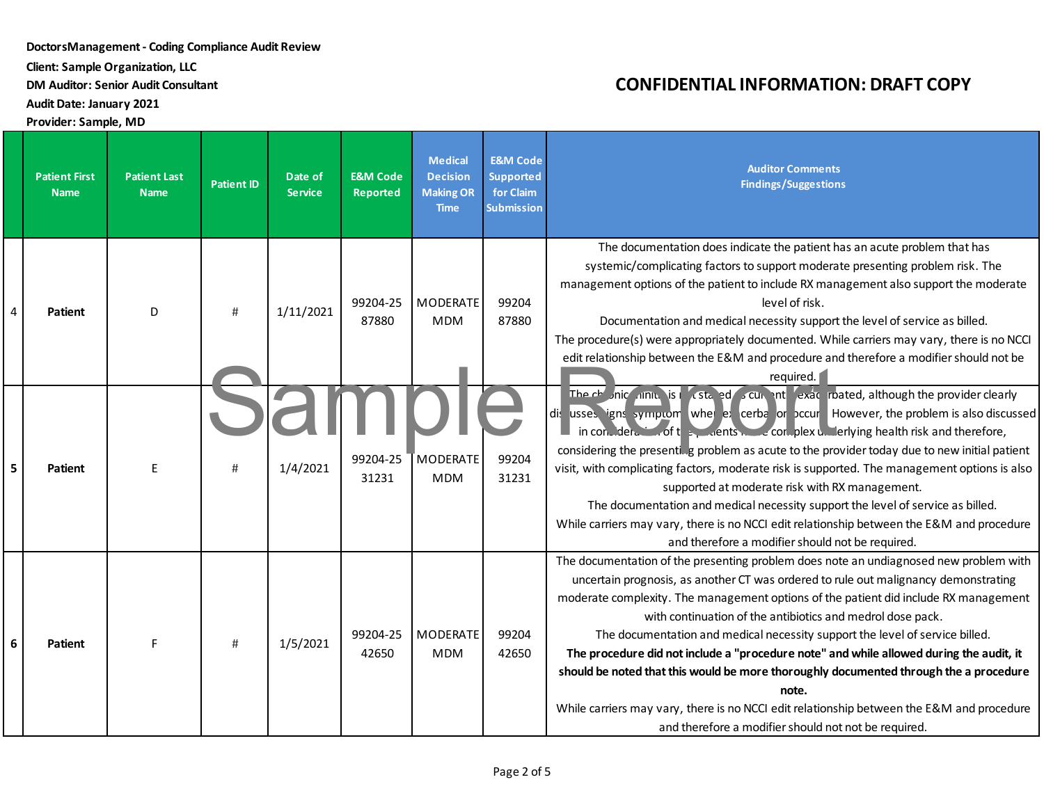**Client: Sample Organization, LLC**

**DM Auditor: Senior Audit Consultant**

**AuditDate: January 2021**

**Provider: Sample, MD**

|   | <b>Patient First</b><br><b>Name</b> | <b>Patient Last</b><br><b>Name</b> | <b>Patient ID</b> | Date of<br><b>Service</b> | <b>E&amp;M Code</b><br><b>Reported</b> | <b>Medical</b><br><b>Decision</b><br><b>Making OR</b><br><b>Time</b> | <b>E&amp;M Code</b><br><b>Supported</b><br>for Claim<br><b>Submission</b> | <b>Auditor Comments</b><br><b>Findings/Suggestions</b>                                                                                                                                                                                                                                                                                                                                                                                                                                                                                                                                                                                                                                                                                                               |
|---|-------------------------------------|------------------------------------|-------------------|---------------------------|----------------------------------------|----------------------------------------------------------------------|---------------------------------------------------------------------------|----------------------------------------------------------------------------------------------------------------------------------------------------------------------------------------------------------------------------------------------------------------------------------------------------------------------------------------------------------------------------------------------------------------------------------------------------------------------------------------------------------------------------------------------------------------------------------------------------------------------------------------------------------------------------------------------------------------------------------------------------------------------|
| 4 | <b>Patient</b>                      | D                                  | #                 | 1/11/2021                 | 99204-25<br>87880                      | MODERATE<br><b>MDM</b>                                               | 99204<br>87880                                                            | The documentation does indicate the patient has an acute problem that has<br>systemic/complicating factors to support moderate presenting problem risk. The<br>management options of the patient to include RX management also support the moderate<br>level of risk.<br>Documentation and medical necessity support the level of service as billed.<br>The procedure(s) were appropriately documented. While carriers may vary, there is no NCCI<br>edit relationship between the E&M and procedure and therefore a modifier should not be<br>required. $\Box$                                                                                                                                                                                                      |
| 5 | <b>Patient</b>                      | E                                  | #                 | 1/4/2021                  | 99204-25<br>31231                      | MODERATE<br><b>MDM</b>                                               | 99204<br>31231                                                            | The chonic niniulis is restained so curricult exact roated, although the provider clearly<br>dis usses igns symptom when ex cerba or occur. However, the problem is also discussed<br>in consideration of the process of the consider $\mu$ best and therefore and therefore,<br>considering the presenting problem as acute to the provider today due to new initial patient<br>visit, with complicating factors, moderate risk is supported. The management options is also<br>supported at moderate risk with RX management.<br>The documentation and medical necessity support the level of service as billed.<br>While carriers may vary, there is no NCCI edit relationship between the E&M and procedure<br>and therefore a modifier should not be required.  |
| 6 | <b>Patient</b>                      | F                                  | #                 | 1/5/2021                  | 99204-25<br>42650                      | MODERATE<br><b>MDM</b>                                               | 99204<br>42650                                                            | The documentation of the presenting problem does note an undiagnosed new problem with<br>uncertain prognosis, as another CT was ordered to rule out malignancy demonstrating<br>moderate complexity. The management options of the patient did include RX management<br>with continuation of the antibiotics and medrol dose pack.<br>The documentation and medical necessity support the level of service billed.<br>The procedure did not include a "procedure note" and while allowed during the audit, it<br>should be noted that this would be more thoroughly documented through the a procedure<br>note.<br>While carriers may vary, there is no NCCI edit relationship between the E&M and procedure<br>and therefore a modifier should not not be required. |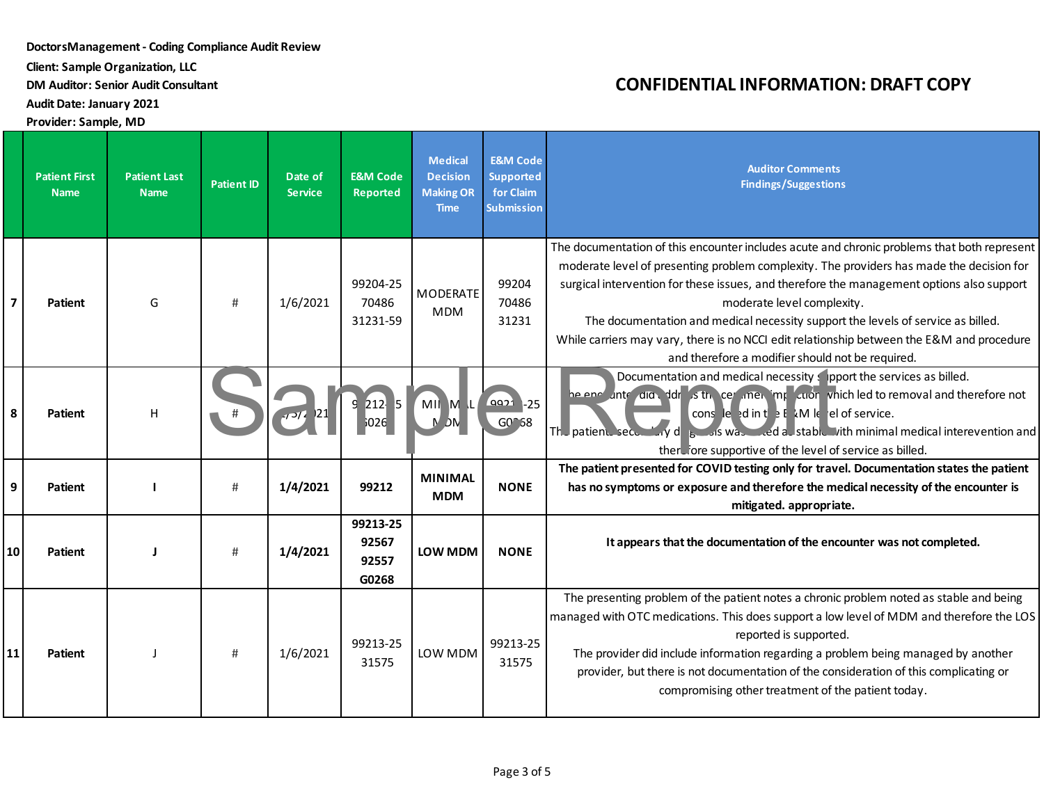**Client: Sample Organization, LLC**

**DM Auditor: Senior Audit Consultant**

**AuditDate: January 2021**

**Provider: Sample, MD**

|                         | <b>Patient First</b><br><b>Name</b> | <b>Patient Last</b><br><b>Name</b> | <b>Patient ID</b> | Date of<br><b>Service</b> | <b>E&amp;M Code</b><br><b>Reported</b> | <b>Medical</b><br><b>Decision</b><br><b>Making OR</b><br><b>Time</b> | <b>E&amp;M Code</b><br><b>Supported</b><br>for Claim<br><b>Submission</b> | <b>Auditor Comments</b><br><b>Findings/Suggestions</b>                                                                                                                                                                                                                                                                                                                                                                                                                                                                                                  |
|-------------------------|-------------------------------------|------------------------------------|-------------------|---------------------------|----------------------------------------|----------------------------------------------------------------------|---------------------------------------------------------------------------|---------------------------------------------------------------------------------------------------------------------------------------------------------------------------------------------------------------------------------------------------------------------------------------------------------------------------------------------------------------------------------------------------------------------------------------------------------------------------------------------------------------------------------------------------------|
| $\overline{\mathbf{z}}$ | Patient                             | G                                  | #                 | 1/6/2021                  | 99204-25<br>70486<br>31231-59          | MODERATE<br><b>MDM</b>                                               | 99204<br>70486<br>31231                                                   | The documentation of this encounter includes acute and chronic problems that both represent<br>moderate level of presenting problem complexity. The providers has made the decision for<br>surgical intervention for these issues, and therefore the management options also support<br>moderate level complexity.<br>The documentation and medical necessity support the levels of service as billed.<br>While carriers may vary, there is no NCCI edit relationship between the E&M and procedure<br>and therefore a modifier should not be required. |
| 8                       | <b>Patient</b>                      | H                                  |                   |                           | $212$ 5                                | MII ML                                                               | 9921 -25<br>$G0^{\circ}58$                                                | Documentation and medical necessity spport the services as billed.<br>he end unter did to dirty site of the certified which led to removal and therefore not<br>cons le din t $\frac{1}{2}$ E kM le el of service.<br>The patient secondary dispossible and stable with minimal medical interevention and<br>there fore supportive of the level of service as billed.                                                                                                                                                                                   |
| 9                       | Patient                             |                                    | #                 | 1/4/2021                  | 99212                                  | <b>MINIMAL</b><br><b>MDM</b>                                         | <b>NONE</b>                                                               | The patient presented for COVID testing only for travel. Documentation states the patient<br>has no symptoms or exposure and therefore the medical necessity of the encounter is<br>mitigated. appropriate.                                                                                                                                                                                                                                                                                                                                             |
| 10                      | Patient                             |                                    | #                 | 1/4/2021                  | 99213-25<br>92567<br>92557<br>G0268    | LOW MDM                                                              | <b>NONE</b>                                                               | It appears that the documentation of the encounter was not completed.                                                                                                                                                                                                                                                                                                                                                                                                                                                                                   |
| 11                      | Patient                             |                                    | #                 | 1/6/2021                  | 99213-25<br>31575                      | LOW MDM                                                              | 99213-25<br>31575                                                         | The presenting problem of the patient notes a chronic problem noted as stable and being<br>managed with OTC medications. This does support a low level of MDM and therefore the LOS<br>reported is supported.<br>The provider did include information regarding a problem being managed by another<br>provider, but there is not documentation of the consideration of this complicating or<br>compromising other treatment of the patient today.                                                                                                       |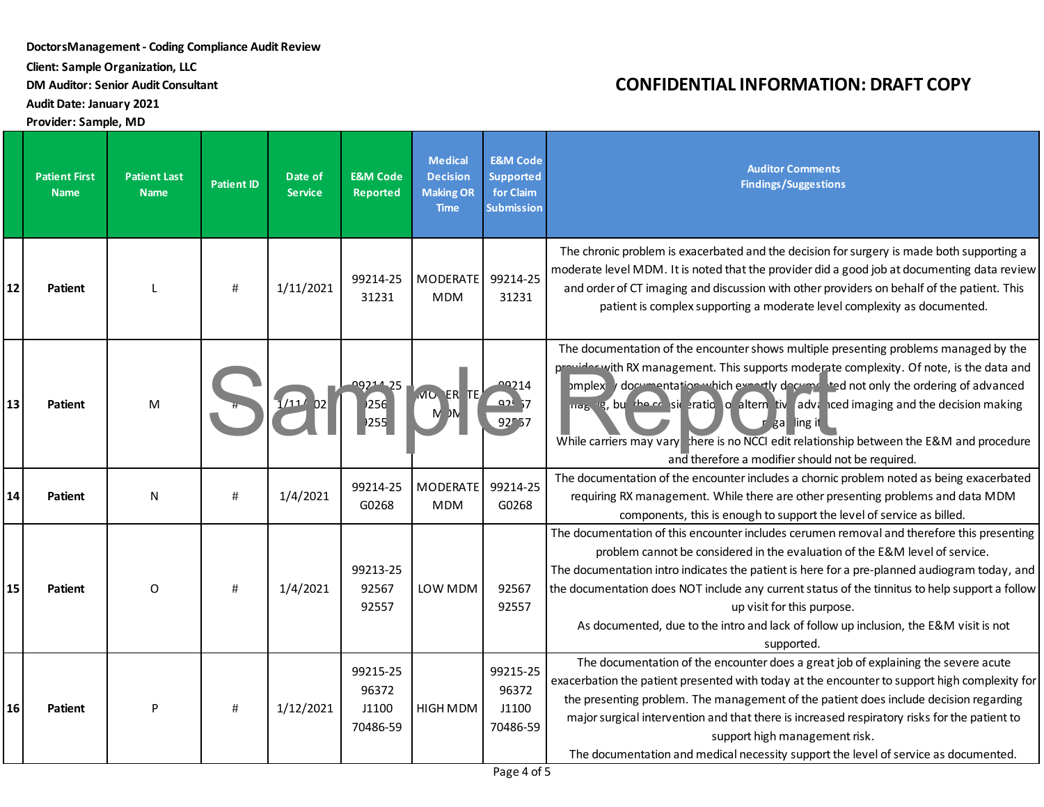**Client: Sample Organization, LLC**

**DM Auditor: Senior Audit Consultant**

**AuditDate: January 2021**

**Provider: Sample, MD**

|    | <b>Patient First</b><br><b>Name</b> | <b>Patient Last</b><br><b>Name</b> | <b>Patient ID</b> | Date of<br><b>Service</b> | <b>E&amp;M Code</b><br>Reported        | <b>Medical</b><br><b>Decision</b><br><b>Making OR</b><br><b>Time</b> | <b>E&amp;M Code</b><br><b>Supported</b><br>for Claim<br><b>Submission</b> | <b>Auditor Comments</b><br><b>Findings/Suggestions</b>                                                                                                                                                                                                                                                                                                                                                                                                                                                                                      |
|----|-------------------------------------|------------------------------------|-------------------|---------------------------|----------------------------------------|----------------------------------------------------------------------|---------------------------------------------------------------------------|---------------------------------------------------------------------------------------------------------------------------------------------------------------------------------------------------------------------------------------------------------------------------------------------------------------------------------------------------------------------------------------------------------------------------------------------------------------------------------------------------------------------------------------------|
| 12 | Patient                             |                                    | #                 | 1/11/2021                 | 99214-25<br>31231                      | MODERATE<br><b>MDM</b>                                               | 99214-25<br>31231                                                         | The chronic problem is exacerbated and the decision for surgery is made both supporting a<br>moderate level MDM. It is noted that the provider did a good job at documenting data review<br>and order of CT imaging and discussion with other providers on behalf of the patient. This<br>patient is complex supporting a moderate level complexity as documented.                                                                                                                                                                          |
| 13 | <b>Patient</b>                      | M                                  |                   |                           | 09214-25<br>256<br>)255                | MO ER TE                                                             | 00214<br>921,7<br>92557                                                   | The documentation of the encounter shows multiple presenting problems managed by the<br>provider with RX management. This supports moderate complexity. Of note, is the data and<br>omplex y documentation which expectly documented not only the ordering of advanced<br>ing <sub>b</sub> is, but the consideration of altern tive adventual imaging and the decision making<br>gal ling it<br>While carriers may vary here is no NCCI edit relationship between the E&M and procedure<br>and therefore a modifier should not be required. |
| 14 | <b>Patient</b>                      | N                                  | #                 | 1/4/2021                  | 99214-25<br>G0268                      | <b>MODERATE</b><br><b>MDM</b>                                        | 99214-25<br>G0268                                                         | The documentation of the encounter includes a chornic problem noted as being exacerbated<br>requiring RX management. While there are other presenting problems and data MDM<br>components, this is enough to support the level of service as billed.                                                                                                                                                                                                                                                                                        |
| 15 | <b>Patient</b>                      | 0                                  | #                 | 1/4/2021                  | 99213-25<br>92567<br>92557             | LOW MDM                                                              | 92567<br>92557                                                            | The documentation of this encounter includes cerumen removal and therefore this presenting<br>problem cannot be considered in the evaluation of the E&M level of service.<br>The documentation intro indicates the patient is here for a pre-planned audiogram today, and<br>the documentation does NOT include any current status of the tinnitus to help support a follow<br>up visit for this purpose.<br>As documented, due to the intro and lack of follow up inclusion, the E&M visit is not<br>supported.                            |
| 16 | Patient                             | P                                  | #                 | 1/12/2021                 | 99215-25<br>96372<br>J1100<br>70486-59 | HIGH MDM                                                             | 99215-25<br>96372<br>J1100<br>70486-59                                    | The documentation of the encounter does a great job of explaining the severe acute<br>exacerbation the patient presented with today at the encounter to support high complexity for<br>the presenting problem. The management of the patient does include decision regarding<br>major surgical intervention and that there is increased respiratory risks for the patient to<br>support high management risk.<br>The documentation and medical necessity support the level of service as documented.                                        |